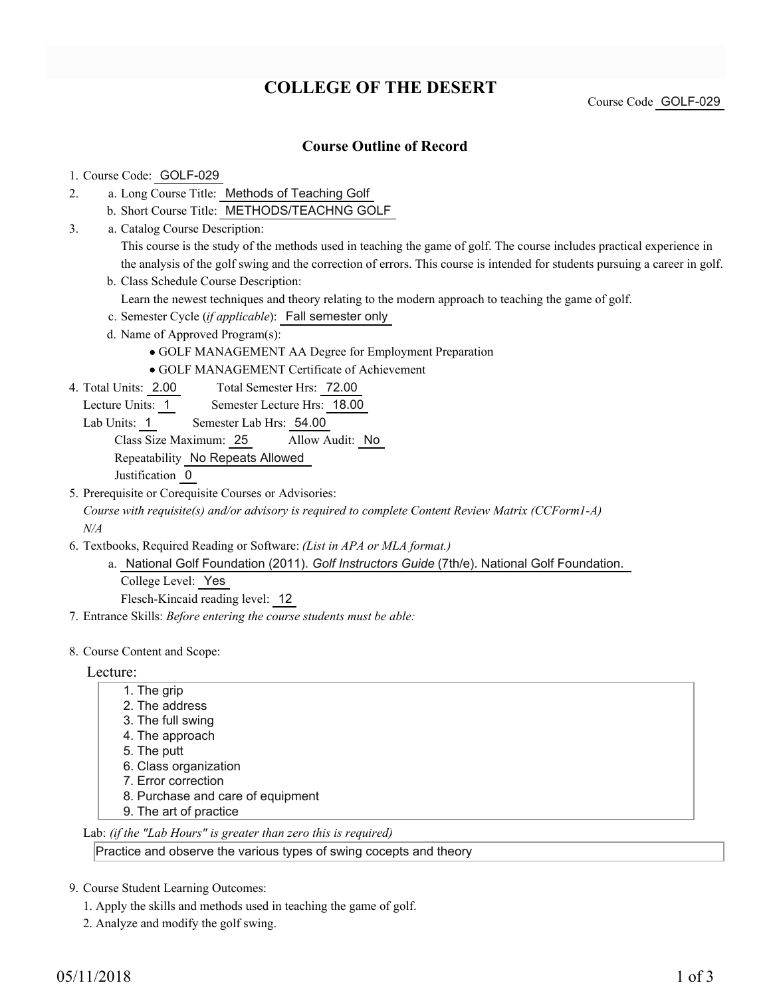## **COLLEGE OF THE DESERT**

Course Code GOLF-029

### **Course Outline of Record**

#### 1. Course Code: GOLF-029

- a. Long Course Title: Methods of Teaching Golf 2.
	- b. Short Course Title: METHODS/TEACHNG GOLF
- Catalog Course Description: a. 3.

This course is the study of the methods used in teaching the game of golf. The course includes practical experience in the analysis of the golf swing and the correction of errors. This course is intended for students pursuing a career in golf.

b. Class Schedule Course Description:

Learn the newest techniques and theory relating to the modern approach to teaching the game of golf.

- c. Semester Cycle (*if applicable*): Fall semester only
- d. Name of Approved Program(s):
	- GOLF MANAGEMENT AA Degree for Employment Preparation
	- GOLF MANAGEMENT Certificate of Achievement
- Total Semester Hrs: 72.00 4. Total Units: 2.00
- Lecture Units: 1 Semester Lecture Hrs: 18.00
	- Lab Units: 1 Semester Lab Hrs: 54.00

Class Size Maximum: 25 Allow Audit: No

Repeatability No Repeats Allowed

Justification 0

5. Prerequisite or Corequisite Courses or Advisories:

*Course with requisite(s) and/or advisory is required to complete Content Review Matrix (CCForm1-A) N/A*

- Textbooks, Required Reading or Software: *(List in APA or MLA format.)* 6.
	- a. National Golf Foundation (2011). Golf Instructors Guide (7th/e). National Golf Foundation. College Level: Yes

Flesch-Kincaid reading level: 12

7. Entrance Skills: *Before entering the course students must be able:*

#### 8. Course Content and Scope:

#### Lecture:

- 1. The grip 2. The address 3. The full swing 4. The approach
- 5. The putt
- 6. Class organization
- 7. Error correction
- 8. Purchase and care of equipment
- 9. The art of practice

Lab: *(if the "Lab Hours" is greater than zero this is required)*

Practice and observe the various types of swing cocepts and theory

9. Course Student Learning Outcomes:

- 1. Apply the skills and methods used in teaching the game of golf.
- 2. Analyze and modify the golf swing.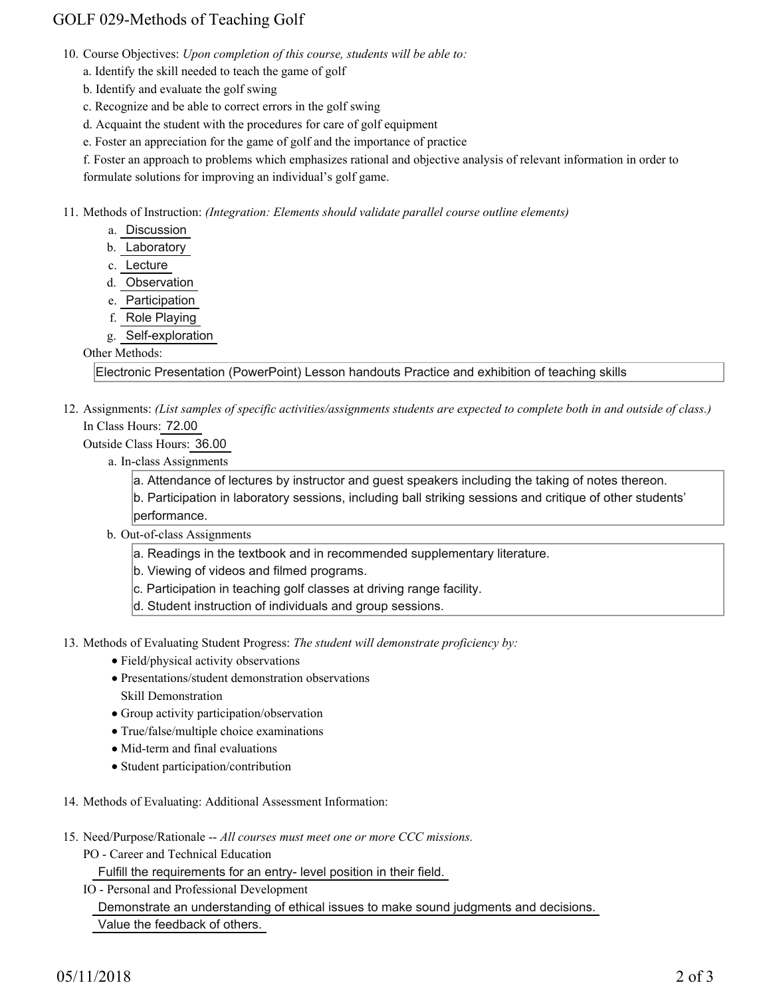## GOLF 029-Methods of Teaching Golf

- 10. Course Objectives: Upon completion of this course, students will be able to:
	- a. Identify the skill needed to teach the game of golf
	- b. Identify and evaluate the golf swing
	- c. Recognize and be able to correct errors in the golf swing
	- d. Acquaint the student with the procedures for care of golf equipment
	- e. Foster an appreciation for the game of golf and the importance of practice

f. Foster an approach to problems which emphasizes rational and objective analysis of relevant information in order to formulate solutions for improving an individual's golf game.

11. Methods of Instruction: *(Integration: Elements should validate parallel course outline elements)* 

- a. Discussion
- b. Laboratory
- c. Lecture
- d. Observation
- e. Participation
- f. Role Playing
- g. Self-exploration

#### Other Methods:

Electronic Presentation (PowerPoint) Lesson handouts Practice and exhibition of teaching skills

12. Assignments: (List samples of specific activities/assignments students are expected to complete both in and outside of class.) In Class Hours: 72.00

Outside Class Hours: 36.00

a. In-class Assignments

a. Attendance of lectures by instructor and guest speakers including the taking of notes thereon. b. Participation in laboratory sessions, including ball striking sessions and critique of other students' performance.

- b. Out-of-class Assignments
	- a. Readings in the textbook and in recommended supplementary literature.
	- b. Viewing of videos and filmed programs.
	- c. Participation in teaching golf classes at driving range facility.
	- d. Student instruction of individuals and group sessions.
- 13. Methods of Evaluating Student Progress: The student will demonstrate proficiency by:
	- Field/physical activity observations
	- Presentations/student demonstration observations Skill Demonstration
	- Group activity participation/observation
	- True/false/multiple choice examinations
	- Mid-term and final evaluations
	- Student participation/contribution
- 14. Methods of Evaluating: Additional Assessment Information:
- 15. Need/Purpose/Rationale -- All courses must meet one or more CCC missions.
	- PO Career and Technical Education

Fulfill the requirements for an entry- level position in their field.

IO - Personal and Professional Development Demonstrate an understanding of ethical issues to make sound judgments and decisions. Value the feedback of others.